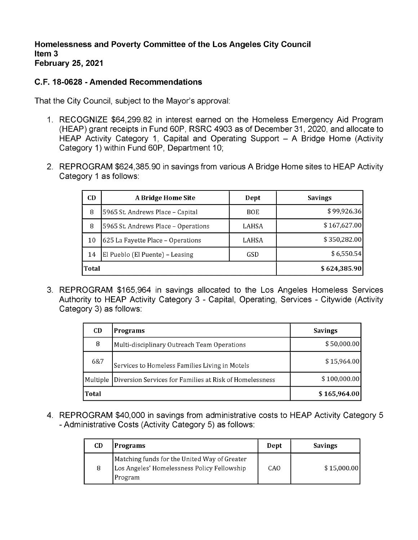## **C.F. 18-0628 - Amended Recommendations**

That the City Council, subject to the Mayor's approval:

- 1. RECOGNIZE \$64,299.82 in interest earned on the Homeless Emergency Aid Program (HEAP) grant receipts in Fund 60P, RSRC 4903 as of December 31,2020, and allocate to HEAP Activity Category 1, Capital and Operating Support - A Bridge Home (Activity Category 1) within Fund 60P, Department 10;
- 2. REPROGRAM \$624,385.90 in savings from various A Bridge Home sites to HEAP Activity Category <sup>1</sup> as follows:

| CD    | A Bridge Home Site                  | Dept         | <b>Savings</b> |
|-------|-------------------------------------|--------------|----------------|
| 8     | 5965 St. Andrews Place - Capital    | <b>BOE</b>   | \$99,926.36    |
| 8     | 5965 St. Andrews Place - Operations | LAHSA        | \$167,627.00   |
| 10    | 625 La Fayette Place - Operations   | LAHSA        | \$350,282.00   |
| 14    | El Pueblo (El Puente) - Leasing     | GSD          | \$6,550.54     |
| Total |                                     | \$624,385.90 |                |

3. REPROGRAM \$165,964 in savings allocated to the Los Angeles Homeless Services Authority to HEAP Activity Category 3 - Capital, Operating, Services - Citywide (Activity Category 3) as follows:

| CD.      | <b>Programs</b>                                         | <b>Savings</b> |
|----------|---------------------------------------------------------|----------------|
| 8        | Multi-disciplinary Outreach Team Operations             | \$50,000.00    |
| 6&7      | Services to Homeless Families Living in Motels          | \$15,964,00    |
| Multiple | Diversion Services for Families at Risk of Homelessness | \$100,000.00   |
| Total    |                                                         | \$165,964.00   |

4. REPROGRAM \$40,000 in savings from administrative costs to HEAP Activity Category 5 - Administrative Costs (Activity Category 5) as follows:

| CD | Programs                                                                                                | Dept | Savings     |
|----|---------------------------------------------------------------------------------------------------------|------|-------------|
| 8  | Matching funds for the United Way of Greater<br>Los Angeles' Homelessness Policy Fellowship<br> Program | CAO  | \$15,000.00 |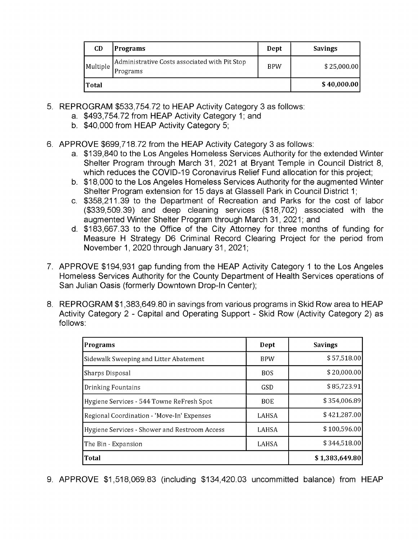| <b>CD</b> | Programs                                                  | Dept       | <b>Savings</b> |
|-----------|-----------------------------------------------------------|------------|----------------|
| Multiple  | Administrative Costs associated with Pit Stop<br>Programs | <b>BPW</b> | \$25,000.00]   |
| 'Total    |                                                           |            | \$40,000.00]   |

- 5. REPROGRAM \$533,754.72 to HEAP Activity Category 3 as follows:
	- a. \$493,754.72 from HEAP Activity Category 1; and
	- b. \$40,000 from HEAP Activity Category 5;
- 6. APPROVE \$699,718.72 from the HEAP Activity Category 3 as follows:
	- a. \$139,840 to the Los Angeles Homeless Services Authority for the extended Winter Shelter Program through March 31, 2021 at Bryant Temple in Council District 8, which reduces the COVID-19 Coronavirus Relief Fund allocation for this project;
	- b. \$18,000 to the Los Angeles Homeless Services Authority for the augmented Winter Shelter Program extension for 15 days at Glassell Park in Council District 1;
	- c. \$358,211.39 to the Department of Recreation and Parks for the cost of labor (\$339,509.39) and deep cleaning services (\$18,702) associated with the augmented Winter Shelter Program through March 31,2021; and
	- d. \$183,667.33 to the Office of the City Attorney for three months of funding for Measure H Strategy D6 Criminal Record Clearing Project for the period from November 1,2020 through January 31,2021;
- 7. APPROVE \$194,931 gap funding from the HEAP Activity Category <sup>1</sup> to the Los Angeles Homeless Services Authority for the County Department of Health Services operations of San Julian Oasis (formerly Downtown Drop-In Center);
- 8. REPROGRAM \$1,383,649.80 in savings from various programs in Skid Row area to HEAP Activity Category 2 - Capital and Operating Support - Skid Row (Activity Category 2) as follows:

| <b>Programs</b>                               | Dept         | <b>Savings</b> |
|-----------------------------------------------|--------------|----------------|
| Sidewalk Sweeping and Litter Abatement        | <b>BPW</b>   | \$57,518.00    |
| Sharps Disposal                               | <b>BOS</b>   | \$20,000.00    |
| Drinking Fountains                            | <b>GSD</b>   | \$85,723.91    |
| Hygiene Services - 544 Towne ReFresh Spot     | <b>BOE</b>   | \$354,006.89   |
| Regional Coordination - 'Move-In' Expenses    | <b>LAHSA</b> | \$421,287.00   |
| Hygiene Services - Shower and Restroom Access | <b>LAHSA</b> | \$100,596.00   |
| The Bin - Expansion                           | LAHSA        | \$344,518.00   |
| <b>Total</b>                                  |              | \$1,383,649.80 |

9. APPROVE \$1,518,069.83 (including \$134,420.03 uncommitted balance) from HEAP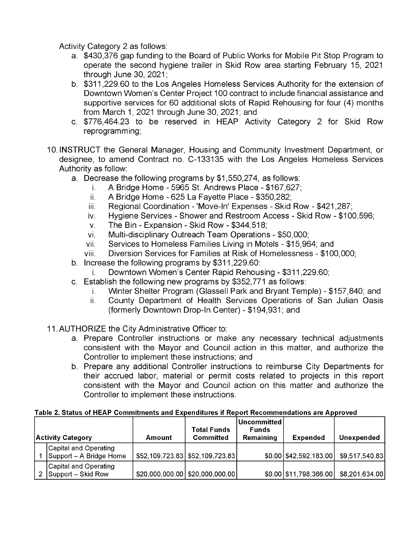Activity Category 2 as follows:

- a. \$430,376 gap funding to the Board of Public Works for Mobile Pit Stop Program to operate the second hygiene trailer in Skid Row area starting February 15, 2021 through June 30, 2021;
- b. \$311,229.60 to the Los Angeles Homeless Services Authority for the extension of Downtown Women's Center Project 100 contract to include financial assistance and supportive services for 60 additional slots of Rapid Rehousing for four (4) months from March 1, 2021 through June 30, 2021; and
- c. \$776,464.23 to be reserved in HEAP Activity Category 2 for Skid Row reprogramming;
- 10. INSTRUCT the General Manager, Housing and Community Investment Department, or designee, to amend Contract no. C-133135 with the Los Angeles Homeless Services Authority as follow:
	- a. Decrease the following programs by \$1,550,274, as follows:
		- i. A Bridge Home - 5965 St. Andrews Place - \$167,627;
		- A Bridge Home 625 La Fayette Place \$350,282; ii.
		- Regional Coordination 'Move-In' Expenses Skid Row \$421,287; ii
		- Hygiene Services Shower and Restroom Access Skid Row \$100,596; iv
		- The Bin Expansion Skid Row \$344,518; v
		- Multi-disciplinary Outreach Team Operations \$50,000; vi
		- Services to Homeless Families Living in Motels \$15,964; and vii
		- Diversion Services for Families at Risk of Homelessness \$100,000; viii
	- b. Increase the following programs by \$311,229.60:
		- Downtown Women's Center Rapid Rehousing \$311,229.60; i.
	- c. Establish the following new programs by \$352,771 as follows:
		- Winter Shelter Program (Glassell Park and Bryant Temple) \$157,840; and i.
		- County Department of Health Services Operations of San Julian Oasis (formerly Downtown Drop-In Center) - \$194,931; and ii.
- 11. AUTHORIZE the City Administrative Officer to:
	- a. Prepare Controller instructions or make any necessary technical adjustments consistent with the Mayor and Council action in this matter, and authorize the Controller to implement these instructions; and
	- b. Prepare any additional Controller instructions to reimburse City Departments for their accrued labor, material or permit costs related to projects in this report consistent with the Mayor and Council action on this matter and authorize the Controller to implement these instructions.

|--|

| Activity Category |                                                  | Amount                            | <b>Total Funds</b><br>Committed    | l Uncommitted l<br><b>Funds</b><br>Remaining | <b>Expended</b>           | Unexpended     |
|-------------------|--------------------------------------------------|-----------------------------------|------------------------------------|----------------------------------------------|---------------------------|----------------|
|                   | Capital and Operating<br>Support - A Bridge Home | \$52,109,723.83   \$52,109,723.83 |                                    |                                              | $$0.00$   \$42,592,183.00 | \$9,517,540.83 |
|                   | Capital and Operating<br>2 Support – Skid Row    |                                   | $$20,000,000.00$   \$20,000,000.00 |                                              | \$0.00 \$11,798,366.00    | \$8,201,634.00 |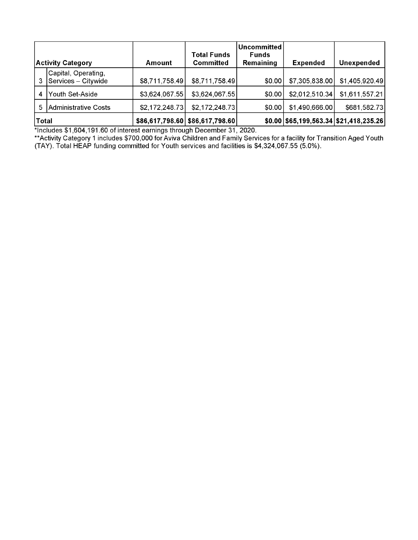| <b>Activity Category</b> |                                            | Amount         | <b>Total Funds</b><br>Committed | Uncommitted <i>\</i><br><b>Funds</b><br>Remaining | <b>Expended</b> | <b>Unexpended</b>                         |
|--------------------------|--------------------------------------------|----------------|---------------------------------|---------------------------------------------------|-----------------|-------------------------------------------|
|                          | Capital, Operating,<br>Services – Citywide | \$8,711,758.49 | \$8,711,758.49                  | \$0.00                                            | \$7,305,838.00  | \$1,405,920.49                            |
| 4                        | Youth Set-Aside                            | \$3,624,067.55 | \$3,624,067.55                  | \$0.00                                            | \$2,012,510.34  | \$1,611,557.21                            |
| 5.                       | Administrative Costs                       | \$2,172,248.73 | \$2,172,248.73                  | \$0.00                                            | \$1,490,666.00  | \$681,582.73                              |
| <b>Total</b>             |                                            |                | \$86,617,798.60 \$86,617,798.60 |                                                   |                 | $$0.00$  \$65,199,563.34  \$21,418,235.26 |

\*Includes \$1,604,191.60 of interest earnings through December 31,2020.

Activity Category <sup>1</sup> includes \$700,000 for Aviva Children and Family Services for a facility for Transition Aged Youth (TAY). Total HEAP funding committed for Youth services and facilities is \$4,324,067.55 (5.0%). \*\*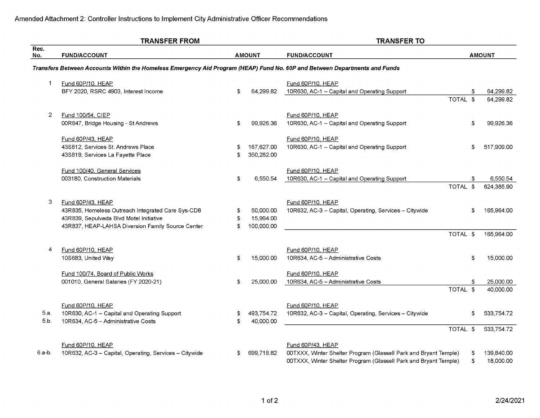|                | <b>TRANSFER FROM</b>                                                                                                       |    |               | <b>TRANSFER TO</b>                                                            |    |                        |  |
|----------------|----------------------------------------------------------------------------------------------------------------------------|----|---------------|-------------------------------------------------------------------------------|----|------------------------|--|
| Rec.<br>No.    | <b>FUND/ACCOUNT</b>                                                                                                        |    | <b>AMOUNT</b> | <b>FUND/ACCOUNT</b>                                                           |    | <b>AMOUNT</b>          |  |
|                | Transfers Between Accounts Within the Homeless Emergency Aid Program (HEAP) Fund No. 60P and Between Departments and Funds |    |               |                                                                               |    |                        |  |
| $\mathbf 1$    | Fund 60P/10, HEAP<br>BFY 2020, RSRC 4903, Interest Income                                                                  | \$ | 64,299.82     | Fund 60P/10, HEAP<br>10R630, AC-1 - Capital and Operating Support<br>TOTAL \$ | \$ | 64,299.82<br>64,299.82 |  |
|                |                                                                                                                            |    |               |                                                                               |    |                        |  |
| $\overline{2}$ | Fund 100/54, CIEP                                                                                                          |    |               | Fund 60P/10, HEAP                                                             |    |                        |  |
|                | 00R647, Bridge Housing - St Andrews                                                                                        | \$ | 99,926.36     | 10R630, AC-1 - Capital and Operating Support                                  | \$ | 99,926.36              |  |
|                | Fund 60P/43, HEAP                                                                                                          |    |               | Fund 60P/10, HEAP                                                             |    |                        |  |
|                | 43S812, Services St. Andrews Place                                                                                         |    | 167,627.00    | 10R630, AC-1 - Capital and Operating Support                                  | \$ | 517,909.00             |  |
|                | 43S819, Services La Fayette Place                                                                                          | \$ | 350,282.00    |                                                                               |    |                        |  |
|                | Fund 100/40, General Services                                                                                              |    |               | Fund 60P/10, HEAP                                                             |    |                        |  |
|                | 003180, Construction Materials                                                                                             | \$ | 6.550.54      | 10R630, AC-1 - Capital and Operating Support                                  | S  | 6,550.54               |  |
|                |                                                                                                                            |    |               | TOTAL \$                                                                      |    | 624,385.90             |  |
| 3              | Fund 60P/43, HEAP                                                                                                          |    |               | Fund 60P/10, HEAP                                                             |    |                        |  |
|                | 43R835, Homeless Outreach Integrated Care Sys-CD8                                                                          |    | 50.000.00     | 10R632, AC-3 - Capital, Operating, Services - Citywide                        | \$ | 165.964.00             |  |
|                | 43R839, Sepulveda Blvd Motel Initiative                                                                                    | \$ | 15,964.00     |                                                                               |    |                        |  |
|                | 43R837, HEAP-LAHSA Diversion Family Source Center                                                                          | S  | 100,000.00    | TOTAL \$                                                                      |    | 165,964.00             |  |
|                |                                                                                                                            |    |               |                                                                               |    |                        |  |
| 4              | Fund 60P/10, HEAP                                                                                                          |    |               | Fund 60P/10, HEAP                                                             |    |                        |  |
|                | 10S683, United Way                                                                                                         | \$ | 15,000.00     | 10R634, AC-5 - Administrative Costs                                           | \$ | 15,000.00              |  |
|                | Fund 100/74, Board of Public Works                                                                                         |    |               | Fund 60P/10, HEAP                                                             |    |                        |  |
|                | 001010, General Salaries (FY 2020-21)                                                                                      | \$ | 25,000.00     | 10R634, AC-5 - Administrative Costs                                           | \$ | 25,000.00              |  |
|                |                                                                                                                            |    |               | TOTAL \$                                                                      |    | 40,000.00              |  |
|                | Fund 60P/10, HEAP                                                                                                          |    |               | Fund 60P/10, HEAP                                                             |    |                        |  |
| 5.a.           | 10R630, AC-1 - Capital and Operating Support                                                                               | \$ | 493,754.72    | 10R632, AC-3 - Capital, Operating, Services - Citywide                        | S. | 533,754.72             |  |
| 5.b.           | 10R634, AC-5 - Administrative Costs                                                                                        | \$ | 40,000.00     |                                                                               |    |                        |  |
|                |                                                                                                                            |    |               | TOTAL \$                                                                      |    | 533,754.72             |  |
|                | Fund 60P/10, HEAP                                                                                                          |    |               | Fund 60P/43, HEAP                                                             |    |                        |  |
| 6.a-b.         | 10R632, AC-3 - Capital, Operating, Services - Citywide                                                                     | \$ | 699,718.82    | 00TXXX, Winter Shelter Program (Glassell Park and Bryant Temple)              | \$ | 139,840.00             |  |
|                |                                                                                                                            |    |               | 00TXXX, Winter Shelter Program (Glassell Park and Bryant Temple)              | \$ | 18,000.00              |  |